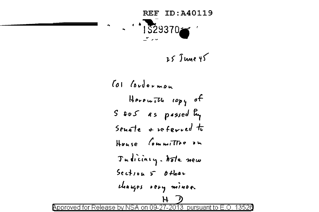

25 June 45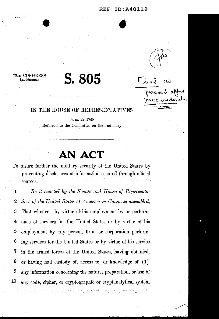#### REF ID:A40119

**•** 



passed a

Final

79TH CONGRESS 1st SESSION

.. -- <sup>~</sup>

# **S.805**

### IN THE HOUSE OF REPRESENTATIVES

JUNE 22, 1945 Referred to the Committee on the Judiciary

## **AN ACT**

To insure further the military security of the United States by preventing disclosures of information secured through official sources.

1 *Be it enacted by the Senate and House of Representa-*2 *tives of the United States of America in Congress assembled,*  3 That whoever, by virtue of his employment by. or perform-4 ance of services for the United States or by virtue of his 5 employment by any person, firm, or corporation perform-6 ing services for the United States or by virtue of his service 7 in the armed forces of the United States, having obtained, 8 or having had custody of, access to, or knowledge of  $(1)$ 9 any information concerning the nature, preparation, or use of 10 any code, cipher, or cryptographic or cryptanalytical system

المالمان أنه وينتقله في المالي والتي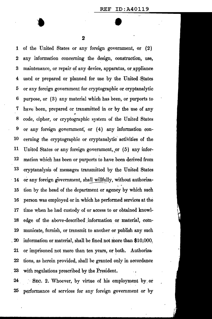$\begin{array}{c}\n\bullet \\
\bullet \\
\end{array}$ 2

1 of the United States or any foreign government, or (2) 2 any information concerning the design, construction, use, 3 maintenance, or repair of any device, apparatus, or appliance 4 used or prepared or planned for use by the United States 5 or any foreign government for cryptographic or cryptanalytic 6 purpose, or ( 3) any materjal which has been, or purports to 7 have been, prepared or transmitted in or by the use of any 8 code, cipher, or cryptographic system of the United States 9 or any foreign government, or (4) any information con-10 cerning the cryptographic or cryptanalytic' activities of the 11 United States or any foreign government,,or (5) any-infor-12 mation which has been or purports to have been derived from 13 cryptanalysis of messages transmitted by the United States 14 or any foreign government, shall willfully, without authoriza-15 tion by the head of the department or agency by which such 16 person was employed or in which he performed services at the 17 time when he had custody of or access to or obtained knowl-18 edge of the above-described information or material, com-19 municate, furnish, or transmit to another or publish any such 20 information or material, shall be fined not more than \$10,000. 21 or imprisoned not more than ten years, or both. Authoriza- $22$  tions, as herein provided, shall be granted only in accordance 23 with regulations prescribed by the President.

24 . SEC. 2. Whoever, by virtue of his employment by or 25 performance of services for any foreign government or by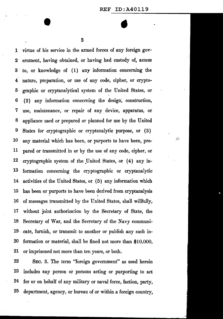$\tilde{G}^{\prime}$ 

1 virtue of his service in the armed forces of any foreign gov-2 ernment, having obtained, or having had custody of, access 3 · to, or knowledge of ( 1) any information concerning the 4 nature, preparation, or use of any code, cipher, or crypto-5 graphic or cryptanalytical system of the United States, or  $6$   $(2)$  any information concerning the design, construction, 7 use, maintenance, or repair of any. device, apparatus, or 8 appliance used or prepared or planned for use by the United 9 States for cryptographic or cryptanalytic purpose, or ( 3) 10 any material which has been, or purports to have been, pre-11 pared or transmitted in or by the use of any code, cipher, or 12 cryptographic system of the United States, or (4) any in-13 formation concermng the cryptographic or cryptanalytic 14 activities of the United States, or (5) any information which 15 has been or purports to have been derived from cryptanalysis 16 of messages transmitted by the United States, shall willfu1ly, 17 without joint authorization by the Secretary of State, the 18 Secretary of War, and the Secretary of the Navy communi-19 cate, furnish, or transmit to another or publish any such in-20 formation or material, shall be fined not more than \$10,000, 21 or imprisoned not more than ten years, or both.

22 SEC. 3. The term "foreign government" as used herein 23 includes any person or persons acting or purporting to act 24 for or on behalf of any military or naval force, faction, party, 25 department, agency, or bureau of or within a foreign country,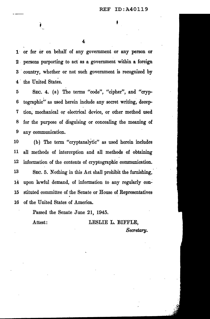$\mathbf{e}_{\mathbf{e}}$  –  $\mathbf{e}_{\mathbf{e}}$  –  $\mathbf{e}_{\mathbf{e}}$  –  $\mathbf{e}_{\mathbf{e}}$ 

1 or for or on behalf of any government or any person or 2 persons purporting to act as a government within a foreign 3 country, whether or not such government is recognized by 4 the United States.

5 SEC. 4. (a) The terms "code", "cipher", and "cryp-6 tographic"· as used herein include any secret writing, decep-7 tion; mechanical or electrical device, or other method used 8 for the purpose of disguising or concealing the meaning of 9 any communication.

10 (b) The term "cryptanalytic" as used herein includes 11 all methods of interception and all methods of obtaining 12 information of the contents of cryptographic communication.

13 SEC. 5. Nothing in this Act shall prohibit the furnishing, 14 upon lawful demand, of information to any regularly con-15 stituted committee of the Senate or House of Representatives 16 of the United States of America.

Passed the Senate June 21, 1945.

Attest: LESLIE L. BIFFLE, *Secretary.*